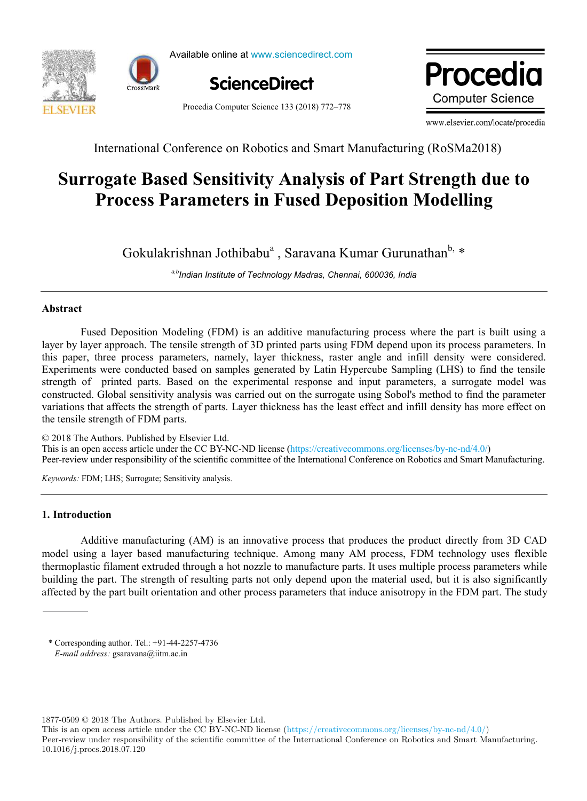# ScienceDirect

Available online at www.sciencedirect.com

**ScienceDirect**





Procedia Computer Science 133 (2018) 772–778



www.elsevier.com/locate/procedia

International Conference on Robotics and Smart Manufacturing (RoSMa2018)

# **Surrogate Based Sensitivity Analysis of Part Strength due to Process Parameters in Fused Deposition Modelling**

Gokulakrishnan Jothibabu<sup>a</sup>, Saravana Kumar Gurunathan<sup>b, \*</sup>

*a,bIndian Institute of Technology Madras, Chennai, 600036, India*

# **Abstract**

Fused Deposition Modeling (FDM) is an additive manufacturing process where the part is built using a layer by layer approach. The tensile strength of 3D printed parts using FDM depend upon its process parameters. In this paper, three process parameters, namely, layer thickness, raster angle and infill density were considered. Experiments were conducted based on samples generated by Latin Hypercube Sampling (LHS) to find the tensile strength of printed parts. Based on the experimental response and input parameters, a surrogate model was constructed. Global sensitivity analysis was carried out on the surrogate using Sobol's method to find the parameter variations that affects the strength of parts. Layer thickness has the least effect and infill density has more effect on the tensile strength of FDM parts.

© 2018 The Authors. Published by Elsevier Ltd. This is an open access article under the CC BY-NC-ND license (https://creativecommons.org/licenses/by-nc-nd/4.0/) Peer-review under responsibility of the scientific committee of the International Conference on Robotics and Smart Manufacturing.

*Keywords:* FDM; LHS; Surrogate; Sensitivity analysis.

# **1. Introduction**

Additive manufacturing (AM) is an innovative process that produces the product directly from 3D CAD model using a layer based manufacturing technique. Among many AM process, FDM technology uses flexible thermoplastic filament extruded through a hot nozzle to manufacture parts. It uses multiple process parameters while building the part. The strength of resulting parts not only depend upon the material used, but it is also significantly affected by the part built orientation and other process parameters that induce anisotropy in the FDM part. The study

\* Corresponding author. Tel.: +91-44-2257-4736 *E-mail address:* gsaravana@iitm.ac.in

1877-0509 © 2018 The Authors. Published by Elsevier Ltd.

This is an open access article under the CC BY-NC-ND license (https://creativecommons.org/licenses/by-nc-nd/4.0/)

Peer-review under responsibility of the scientific committee of the International Conference on Robotics and Smart Manufacturing. 10.1016/j.procs.2018.07.120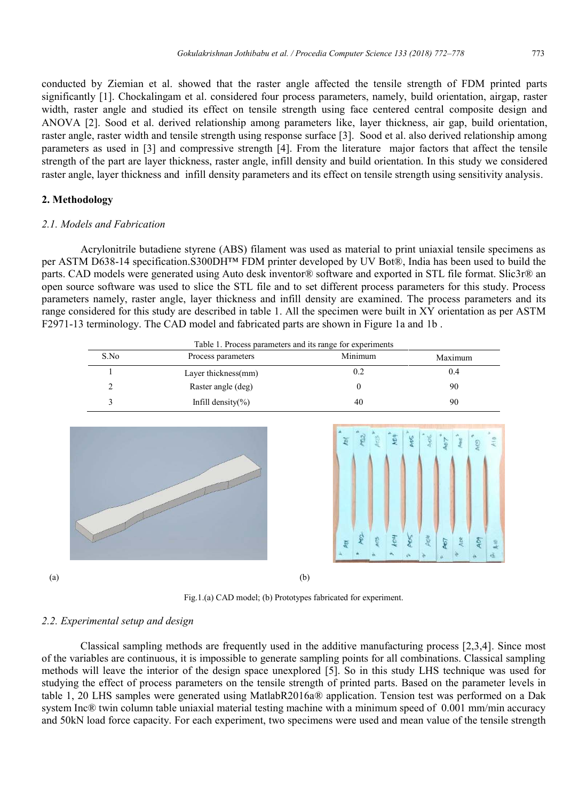conducted by Ziemian et al. showed that the raster angle affected the tensile strength of FDM printed parts significantly [1]. Chockalingam et al. considered four process parameters, namely, build orientation, airgap, raster width, raster angle and studied its effect on tensile strength using face centered central composite design and ANOVA [2]. Sood et al. derived relationship among parameters like, layer thickness, air gap, build orientation, raster angle, raster width and tensile strength using response surface [3]. Sood et al. also derived relationship among parameters as used in [3] and compressive strength [4]. From the literature major factors that affect the tensile strength of the part are layer thickness, raster angle, infill density and build orientation. In this study we considered raster angle, layer thickness and infill density parameters and its effect on tensile strength using sensitivity analysis.

# **2. Methodology**

# *2.1. Models and Fabrication*

Acrylonitrile butadiene styrene (ABS) filament was used as material to print uniaxial tensile specimens as per ASTM D638-14 specification.S300DH™ FDM printer developed by UV Bot®, India has been used to build the parts. CAD models were generated using Auto desk inventor® software and exported in STL file format. Slic3r® an open source software was used to slice the STL file and to set different process parameters for this study. Process parameters namely, raster angle, layer thickness and infill density are examined. The process parameters and its range considered for this study are described in table 1. All the specimen were built in XY orientation as per ASTM F2971-13 terminology. The CAD model and fabricated parts are shown in Figure 1a and 1b .

| Table 1. Process parameters and its range for experiments |                              |         |         |  |  |
|-----------------------------------------------------------|------------------------------|---------|---------|--|--|
| S.No                                                      | Process parameters           | Minimum | Maximum |  |  |
|                                                           | Layer thickness(mm)          | 0.2     | 0.4     |  |  |
|                                                           | Raster angle (deg)           |         | 90      |  |  |
|                                                           | Infill density $\frac{6}{6}$ | 40      | 90      |  |  |





Fig.1.(a) CAD model; (b) Prototypes fabricated for experiment.

# *2.2. Experimental setup and design*

Classical sampling methods are frequently used in the additive manufacturing process [2,3,4]. Since most of the variables are continuous, it is impossible to generate sampling points for all combinations. Classical sampling methods will leave the interior of the design space unexplored [5]. So in this study LHS technique was used for studying the effect of process parameters on the tensile strength of printed parts. Based on the parameter levels in table 1, 20 LHS samples were generated using MatlabR2016a® application. Tension test was performed on a Dak system Inc® twin column table uniaxial material testing machine with a minimum speed of 0.001 mm/min accuracy and 50kN load force capacity. For each experiment, two specimens were used and mean value of the tensile strength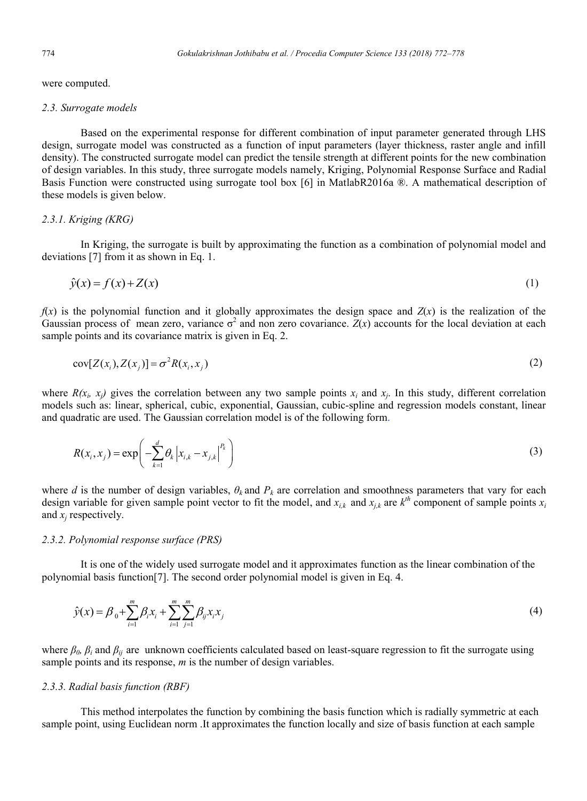were computed.

## *2.3. Surrogate models*

Based on the experimental response for different combination of input parameter generated through LHS design, surrogate model was constructed as a function of input parameters (layer thickness, raster angle and infill density). The constructed surrogate model can predict the tensile strength at different points for the new combination of design variables. In this study, three surrogate models namely, Kriging, Polynomial Response Surface and Radial Basis Function were constructed using surrogate tool box [6] in MatlabR2016a ®. A mathematical description of these models is given below.

## *2.3.1. Kriging (KRG)*

In Kriging, the surrogate is built by approximating the function as a combination of polynomial model and deviations [7] from it as shown in Eq. 1.

$$
\hat{y}(x) = f(x) + Z(x) \tag{1}
$$

 $f(x)$  is the polynomial function and it globally approximates the design space and  $Z(x)$  is the realization of the Gaussian process of mean zero, variance  $\sigma^2$  and non zero covariance.  $Z(x)$  accounts for the local deviation at each sample points and its covariance matrix is given in Eq. 2.

$$
cov[Z(x_i), Z(x_j)] = \sigma^2 R(x_i, x_j)
$$
\n(2)

where  $R(x_i, x_j)$  gives the correlation between any two sample points  $x_i$  and  $x_j$ . In this study, different correlation models such as: linear, spherical, cubic, exponential, Gaussian, cubic-spline and regression models constant, linear and quadratic are used. The Gaussian correlation model is of the following form.

$$
R(x_i, x_j) = \exp\left(-\sum_{k=1}^d \theta_k \left| x_{i,k} - x_{j,k} \right|^{\frac{p_k}{k}}\right)
$$
\n(3)

where *d* is the number of design variables,  $\theta_k$  and  $P_k$  are correlation and smoothness parameters that vary for each design variable for given sample point vector to fit the model, and  $x_{i,k}$  and  $x_{j,k}$  are  $k^h$  component of sample points  $x_i$ and *x<sup>j</sup>* respectively.

#### *2.3.2. Polynomial response surface (PRS)*

 It is one of the widely used surrogate model and it approximates function as the linear combination of the polynomial basis function[7]. The second order polynomial model is given in Eq. 4.

$$
\hat{y}(x) = \beta_0 + \sum_{i=1}^{m} \beta_i x_i + \sum_{i=1}^{m} \sum_{j=1}^{m} \beta_{ij} x_i x_j
$$
\n(4)

where *β0, β<sup>i</sup>* and *βij* are unknown coefficients calculated based on least-square regression to fit the surrogate using sample points and its response, *m* is the number of design variables.

## *2.3.3. Radial basis function (RBF)*

This method interpolates the function by combining the basis function which is radially symmetric at each sample point, using Euclidean norm .It approximates the function locally and size of basis function at each sample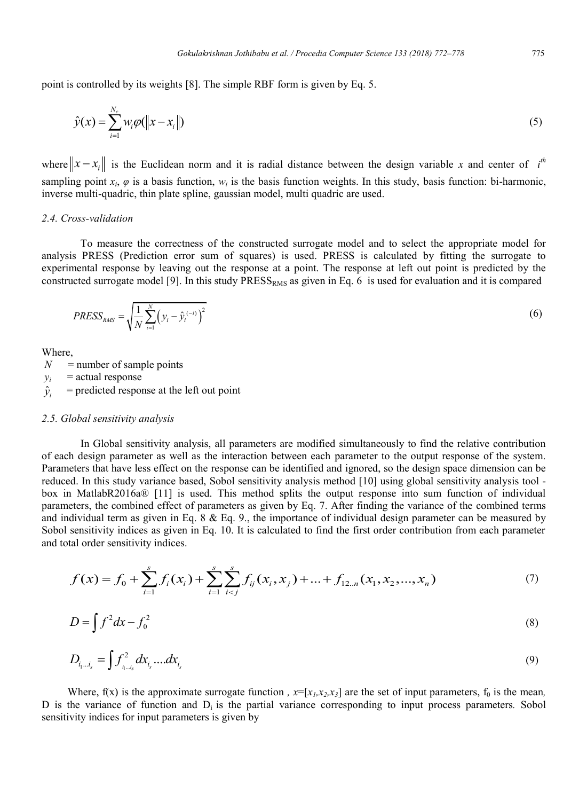point is controlled by its weights [8]. The simple RBF form is given by Eq. 5.

$$
\hat{y}(x) = \sum_{i=1}^{N_c} w_i \varphi(||x - x_i||)
$$
\n(5)

where  $\|x-x_i\|$  is the Euclidean norm and it is radial distance between the design variable *x* and center of  $i^h$ sampling point  $x_i$ ,  $\varphi$  is a basis function,  $w_i$  is the basis function weights. In this study, basis function: bi-harmonic, inverse multi-quadric, thin plate spline, gaussian model, multi quadric are used.

#### *2.4. Cross-validation*

To measure the correctness of the constructed surrogate model and to select the appropriate model for analysis PRESS (Prediction error sum of squares) is used. PRESS is calculated by fitting the surrogate to experimental response by leaving out the response at a point. The response at left out point is predicted by the constructed surrogate model [9]. In this study  $PRESS_{RMS}$  as given in Eq. 6 is used for evaluation and it is compared

$$
PRESS_{RMS} = \sqrt{\frac{1}{N} \sum_{i=1}^{N} (y_i - \hat{y}_i^{(-i)})^2}
$$
(6)

Where,

 $N =$  number of sample points

 $y_i$  = actual response

 $\hat{y}_i$ = predicted response at the left out point

#### *2.5. Global sensitivity analysis*

In Global sensitivity analysis, all parameters are modified simultaneously to find the relative contribution of each design parameter as well as the interaction between each parameter to the output response of the system. Parameters that have less effect on the response can be identified and ignored, so the design space dimension can be reduced. In this study variance based, Sobol sensitivity analysis method [10] using global sensitivity analysis tool box in MatlabR2016a® [11] is used. This method splits the output response into sum function of individual parameters, the combined effect of parameters as given by Eq. 7. After finding the variance of the combined terms and individual term as given in Eq. 8  $&$  Eq. 9., the importance of individual design parameter can be measured by Sobol sensitivity indices as given in Eq. 10. It is calculated to find the first order contribution from each parameter and total order sensitivity indices.

$$
f(x) = f_0 + \sum_{i=1}^{s} f_i(x_i) + \sum_{i=1}^{s} \sum_{i < j}^{s} f_{ij}(x_i, x_j) + \dots + f_{12..n}(x_1, x_2, \dots, x_n) \tag{7}
$$

$$
D = \int f^2 dx - f_0^2 \tag{8}
$$

$$
D_{i_1...i_s} = \int f_{i_1...i_s}^2 dx_{i_s}....dx_{i_s}
$$
 (9)

Where,  $f(x)$  is the approximate surrogate function ,  $x=[x_1,x_2,x_3]$  are the set of input parameters,  $f_0$  is the mean, D is the variance of function and Di is the partial variance corresponding to input process parameters*.* Sobol sensitivity indices for input parameters is given by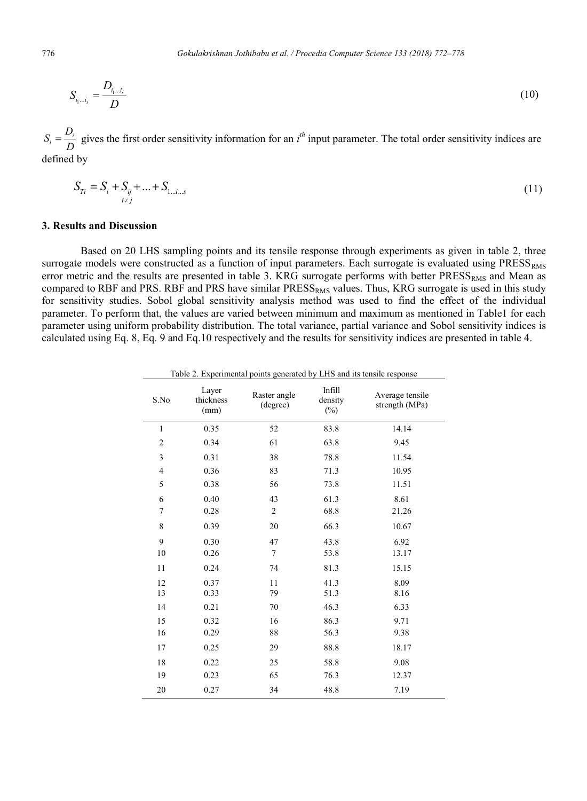$$
S_{i_1...i_s} = \frac{D_{i_1...i_s}}{D} \tag{10}
$$

 $\frac{D_i}{i} = \frac{D_i}{D}$  $S_i = \frac{D_i}{D}$  gives the first order sensitivity information for an *i*<sup>th</sup> input parameter. The total order sensitivity indices are defined by

$$
S_{Ti} = S_i + S_{ij} + ... + S_{1...i...s}
$$
\n(11)

## **3. Results and Discussion**

Based on 20 LHS sampling points and its tensile response through experiments as given in table 2, three surrogate models were constructed as a function of input parameters. Each surrogate is evaluated using  $PRESS<sub>RMS</sub>$ error metric and the results are presented in table 3. KRG surrogate performs with better PRESS<sub>RMS</sub> and Mean as compared to RBF and PRS. RBF and PRS have similar PRESS<sub>RMS</sub> values. Thus, KRG surrogate is used in this study for sensitivity studies. Sobol global sensitivity analysis method was used to find the effect of the individual parameter. To perform that, the values are varied between minimum and maximum as mentioned in Table1 for each parameter using uniform probability distribution. The total variance, partial variance and Sobol sensitivity indices is calculated using Eq. 8, Eq. 9 and Eq.10 respectively and the results for sensitivity indices are presented in table 4.

| Table 2. Experimental points generated by LHS and its tensile response |                            |                          |                             |                                   |
|------------------------------------------------------------------------|----------------------------|--------------------------|-----------------------------|-----------------------------------|
| S.No                                                                   | Layer<br>thickness<br>(mm) | Raster angle<br>(degree) | Infill<br>density<br>$(\%)$ | Average tensile<br>strength (MPa) |
| 1                                                                      | 0.35                       | 52                       | 83.8                        | 14.14                             |
| $\overline{c}$                                                         | 0.34                       | 61                       | 63.8                        | 9.45                              |
| 3                                                                      | 0.31                       | 38                       | 78.8                        | 11.54                             |
| $\overline{4}$                                                         | 0.36                       | 83                       | 71.3                        | 10.95                             |
| 5                                                                      | 0.38                       | 56                       | 73.8                        | 11.51                             |
| 6                                                                      | 0.40                       | 43                       | 61.3                        | 8.61                              |
| 7                                                                      | 0.28                       | 2                        | 68.8                        | 21.26                             |
| 8                                                                      | 0.39                       | 20                       | 66.3                        | 10.67                             |
| 9                                                                      | 0.30                       | 47                       | 43.8                        | 6.92                              |
| 10                                                                     | 0.26                       | 7                        | 53.8                        | 13.17                             |
| 11                                                                     | 0.24                       | 74                       | 81.3                        | 15.15                             |
| 12                                                                     | 0.37                       | 11                       | 41.3                        | 8.09                              |
| 13                                                                     | 0.33                       | 79                       | 51.3                        | 8.16                              |
| 14                                                                     | 0.21                       | 70                       | 46.3                        | 6.33                              |
| 15                                                                     | 0.32                       | 16                       | 86.3                        | 9.71                              |
| 16                                                                     | 0.29                       | 88                       | 56.3                        | 9.38                              |
| 17                                                                     | 0.25                       | 29                       | 88.8                        | 18.17                             |
| 18                                                                     | 0.22                       | 25                       | 58.8                        | 9.08                              |
| 19                                                                     | 0.23                       | 65                       | 76.3                        | 12.37                             |
| 20                                                                     | 0.27                       | 34                       | 48.8                        | 7.19                              |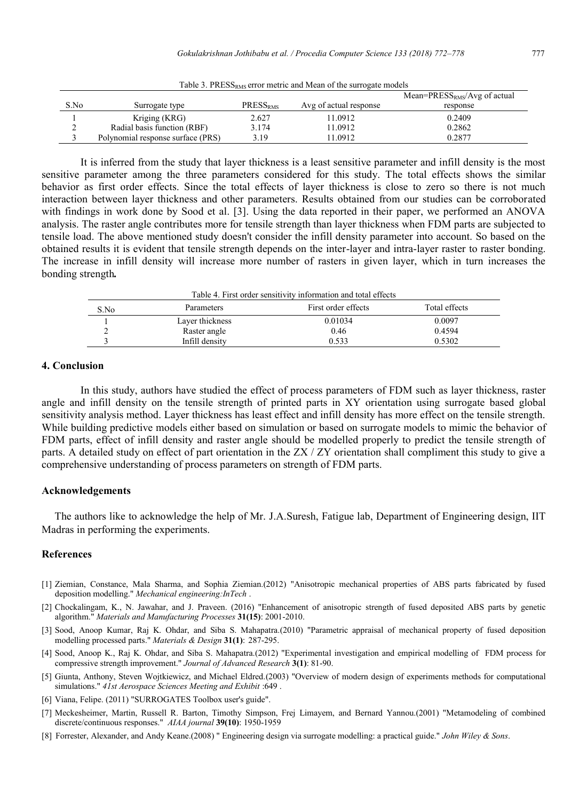|      |                                   |                             |                        | Mean= $PRESSRMS/Avg$ of actual |
|------|-----------------------------------|-----------------------------|------------------------|--------------------------------|
| S.No | Surrogate type                    | <b>PRESS</b> <sub>RMS</sub> | Avg of actual response | response                       |
|      | Kriging (KRG)                     | 2.627                       | 1.0912                 | 0.2409                         |
|      | Radial basis function (RBF)       | 3.174                       | 1.0912                 | 0.2862                         |
|      | Polynomial response surface (PRS) | 3.19                        | 1.0912                 | 0.2877                         |

Table 3.  $PRESS<sub>RMS</sub> error metric and Mean of the surrogate models$ 

It is inferred from the study that layer thickness is a least sensitive parameter and infill density is the most sensitive parameter among the three parameters considered for this study. The total effects shows the similar behavior as first order effects. Since the total effects of layer thickness is close to zero so there is not much interaction between layer thickness and other parameters. Results obtained from our studies can be corroborated with findings in work done by Sood et al. [3]. Using the data reported in their paper, we performed an ANOVA analysis. The raster angle contributes more for tensile strength than layer thickness when FDM parts are subjected to tensile load. The above mentioned study doesn't consider the infill density parameter into account. So based on the obtained results it is evident that tensile strength depends on the inter-layer and intra-layer raster to raster bonding. The increase in infill density will increase more number of rasters in given layer, which in turn increases the bonding strength*.* 

| S.No | Parameters      | First order effects | Total effects |
|------|-----------------|---------------------|---------------|
|      | Layer thickness | 0.01034             | 0.0097        |
|      | Raster angle    | 0.46                | 0.4594        |
|      | Infill density  | 0.533               | 0.5302        |

## **4. Conclusion**

In this study, authors have studied the effect of process parameters of FDM such as layer thickness, raster angle and infill density on the tensile strength of printed parts in XY orientation using surrogate based global sensitivity analysis method. Layer thickness has least effect and infill density has more effect on the tensile strength. While building predictive models either based on simulation or based on surrogate models to mimic the behavior of FDM parts, effect of infill density and raster angle should be modelled properly to predict the tensile strength of parts. A detailed study on effect of part orientation in the  $ZX / ZY$  orientation shall compliment this study to give a comprehensive understanding of process parameters on strength of FDM parts.

#### **Acknowledgements**

The authors like to acknowledge the help of Mr. J.A.Suresh, Fatigue lab, Department of Engineering design, IIT Madras in performing the experiments.

#### **References**

- [1] Ziemian, Constance, Mala Sharma, and Sophia Ziemian.(2012) "Anisotropic mechanical properties of ABS parts fabricated by fused deposition modelling." *Mechanical engineering:InTech* .
- [2] Chockalingam, K., N. Jawahar, and J. Praveen. (2016) "Enhancement of anisotropic strength of fused deposited ABS parts by genetic algorithm." *Materials and Manufacturing Processes* **31(15)**: 2001-2010.
- [3] Sood, Anoop Kumar, Raj K. Ohdar, and Siba S. Mahapatra.(2010) "Parametric appraisal of mechanical property of fused deposition modelling processed parts." *Materials & Design* **31(1)**: 287-295.
- [4] Sood, Anoop K., Raj K. Ohdar, and Siba S. Mahapatra.(2012) "Experimental investigation and empirical modelling of FDM process for compressive strength improvement." *Journal of Advanced Research* **3(1)**: 81-90.
- [5] Giunta, Anthony, Steven Wojtkiewicz, and Michael Eldred.(2003) "Overview of modern design of experiments methods for computational simulations." *41st Aerospace Sciences Meeting and Exhibit* :649 .
- [6] Viana, Felipe. (2011) "SURROGATES Toolbox user's guide".
- [7] Meckesheimer, Martin, Russell R. Barton, Timothy Simpson, Frej Limayem, and Bernard Yannou.(2001) "Metamodeling of combined discrete/continuous responses." *AIAA journal* **39(10)**: 1950-1959
- [8] Forrester, Alexander, and Andy Keane.(2008) " Engineering design via surrogate modelling: a practical guide." *John Wiley & Sons*.